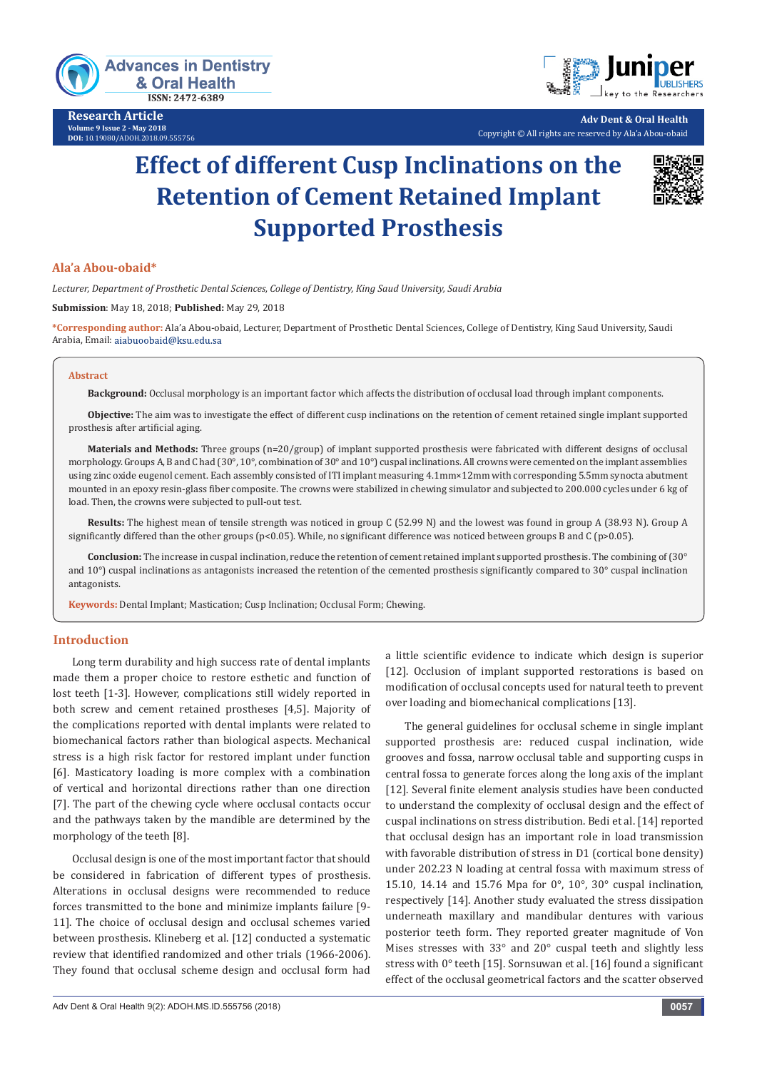

**Research Article Volume 9 Issue 2 - May 2018 DOI:** [10.19080/ADOH.2018.09.555756](http://dx.doi.org/10.19080/ADOH.2018.09.555756)



**Adv Dent & Oral Health** Copyright © All rights are reserved by Ala'a Abou-obaid

# **Effect of different Cusp Inclinations on the Retention of Cement Retained Implant Supported Prosthesis**



# **Ala'a Abou-obaid\***

*Lecturer, Department of Prosthetic Dental Sciences, College of Dentistry, King Saud University, Saudi Arabia*

**Submission**: May 18, 2018; **Published:** May 29, 2018

**\*Corresponding author:** Ala'a Abou-obaid, Lecturer, Department of Prosthetic Dental Sciences, College of Dentistry, King Saud University, Saudi Arabia, Email:

#### **Abstract**

**Background:** Occlusal morphology is an important factor which affects the distribution of occlusal load through implant components.

**Objective:** The aim was to investigate the effect of different cusp inclinations on the retention of cement retained single implant supported prosthesis after artificial aging.

**Materials and Methods:** Three groups (n=20/group) of implant supported prosthesis were fabricated with different designs of occlusal morphology. Groups A, B and C had (30°, 10°, combination of 30° and 10°) cuspal inclinations. All crowns were cemented on the implant assemblies using zinc oxide eugenol cement. Each assembly consisted of ITI implant measuring 4.1mm×12mm with corresponding 5.5mm synocta abutment mounted in an epoxy resin-glass fiber composite. The crowns were stabilized in chewing simulator and subjected to 200.000 cycles under 6 kg of load. Then, the crowns were subjected to pull-out test.

**Results:** The highest mean of tensile strength was noticed in group C (52.99 N) and the lowest was found in group A (38.93 N). Group A significantly differed than the other groups (p<0.05). While, no significant difference was noticed between groups B and C (p>0.05).

**Conclusion:** The increase in cuspal inclination, reduce the retention of cement retained implant supported prosthesis. The combining of (30° and  $10^{\circ}$ ) cuspal inclinations as antagonists increased the retention of the cemented prosthesis significantly compared to  $30^{\circ}$  cuspal inclination antagonists.

**Keywords:** Dental Implant; Mastication; Cusp Inclination; Occlusal Form; Chewing.

## **Introduction**

Long term durability and high success rate of dental implants made them a proper choice to restore esthetic and function of lost teeth [1-3]. However, complications still widely reported in both screw and cement retained prostheses [4,5]. Majority of the complications reported with dental implants were related to biomechanical factors rather than biological aspects. Mechanical stress is a high risk factor for restored implant under function [6]. Masticatory loading is more complex with a combination of vertical and horizontal directions rather than one direction [7]. The part of the chewing cycle where occlusal contacts occur and the pathways taken by the mandible are determined by the morphology of the teeth [8].

Occlusal design is one of the most important factor that should be considered in fabrication of different types of prosthesis. Alterations in occlusal designs were recommended to reduce forces transmitted to the bone and minimize implants failure [9- 11]. The choice of occlusal design and occlusal schemes varied between prosthesis. Klineberg et al. [12] conducted a systematic review that identified randomized and other trials (1966-2006). They found that occlusal scheme design and occlusal form had a little scientific evidence to indicate which design is superior [12]. Occlusion of implant supported restorations is based on modification of occlusal concepts used for natural teeth to prevent over loading and biomechanical complications [13].

The general guidelines for occlusal scheme in single implant supported prosthesis are: reduced cuspal inclination, wide grooves and fossa, narrow occlusal table and supporting cusps in central fossa to generate forces along the long axis of the implant [12]. Several finite element analysis studies have been conducted to understand the complexity of occlusal design and the effect of cuspal inclinations on stress distribution. Bedi et al. [14] reported that occlusal design has an important role in load transmission with favorable distribution of stress in D1 (cortical bone density) under 202.23 N loading at central fossa with maximum stress of 15.10, 14.14 and 15.76 Mpa for 0°, 10°, 30° cuspal inclination, respectively [14]. Another study evaluated the stress dissipation underneath maxillary and mandibular dentures with various posterior teeth form. They reported greater magnitude of Von Mises stresses with 33° and 20° cuspal teeth and slightly less stress with 0° teeth [15]. Sornsuwan et al. [16] found a significant effect of the occlusal geometrical factors and the scatter observed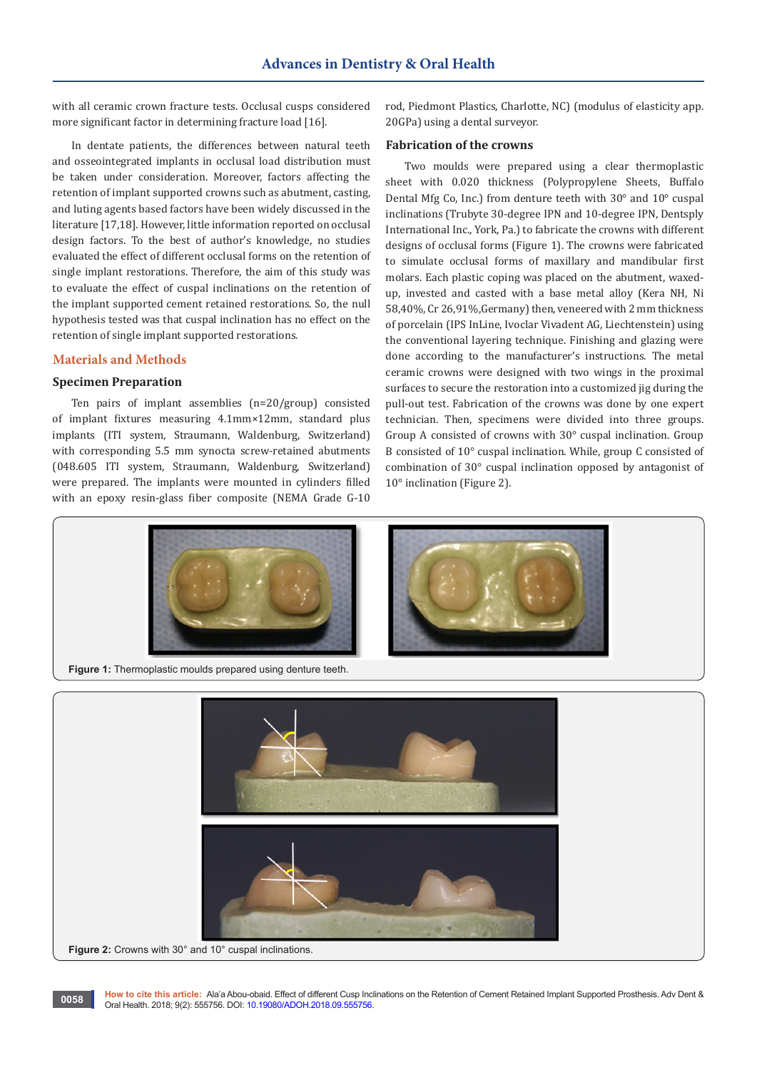with all ceramic crown fracture tests. Occlusal cusps considered more significant factor in determining fracture load [16].

In dentate patients, the differences between natural teeth and osseointegrated implants in occlusal load distribution must be taken under consideration. Moreover, factors affecting the retention of implant supported crowns such as abutment, casting, and luting agents based factors have been widely discussed in the literature [17,18]. However, little information reported on occlusal design factors. To the best of author's knowledge, no studies evaluated the effect of different occlusal forms on the retention of single implant restorations. Therefore, the aim of this study was to evaluate the effect of cuspal inclinations on the retention of the implant supported cement retained restorations. So, the null hypothesis tested was that cuspal inclination has no effect on the retention of single implant supported restorations.

# **Materials and Methods**

#### **Specimen Preparation**

Ten pairs of implant assemblies (n=20/group) consisted of implant fixtures measuring 4.1mm×12mm, standard plus implants (ITI system, Straumann, Waldenburg, Switzerland) with corresponding 5.5 mm synocta screw-retained abutments (048.605 ITI system, Straumann, Waldenburg, Switzerland) were prepared. The implants were mounted in cylinders filled with an epoxy resin-glass fiber composite (NEMA Grade G-10

rod, Piedmont Plastics, Charlotte, NC) (modulus of elasticity app. 20GPa) using a dental surveyor.

#### **Fabrication of the crowns**

Two moulds were prepared using a clear thermoplastic sheet with 0.020 thickness (Polypropylene Sheets, Buffalo Dental Mfg Co, Inc.) from denture teeth with 30° and 10° cuspal inclinations (Trubyte 30-degree IPN and 10-degree IPN, Dentsply International Inc., York, Pa.) to fabricate the crowns with different designs of occlusal forms (Figure 1). The crowns were fabricated to simulate occlusal forms of maxillary and mandibular first molars. Each plastic coping was placed on the abutment, waxedup, invested and casted with a base metal alloy (Kera NH, Ni 58,40%, Cr 26,91%,Germany) then, veneered with 2 mm thickness of porcelain (IPS InLine, Ivoclar Vivadent AG, Liechtenstein) using the conventional layering technique. Finishing and glazing were done according to the manufacturer's instructions. The metal ceramic crowns were designed with two wings in the proximal surfaces to secure the restoration into a customized jig during the pull-out test. Fabrication of the crowns was done by one expert technician. Then, specimens were divided into three groups. Group A consisted of crowns with 30° cuspal inclination. Group B consisted of 10° cuspal inclination. While, group C consisted of combination of 30° cuspal inclination opposed by antagonist of 10° inclination (Figure 2).





**How to cite this article:** Ala'a Abou-obaid. Effect of different Cusp Inclinations on the Retention of Cement Retained Implant Supported Prosthesis. Adv Dent & **OO 58** How to cite this article: Ala'a Abou-obaid. Effect of different Cusp Inc.<br>Oral Health. 2018; 9(2): 555756. DOI: [10.19080/ADOH.2018.09.555756.](http://dx.doi.org/10.19080/ADOH.2018.09.555756)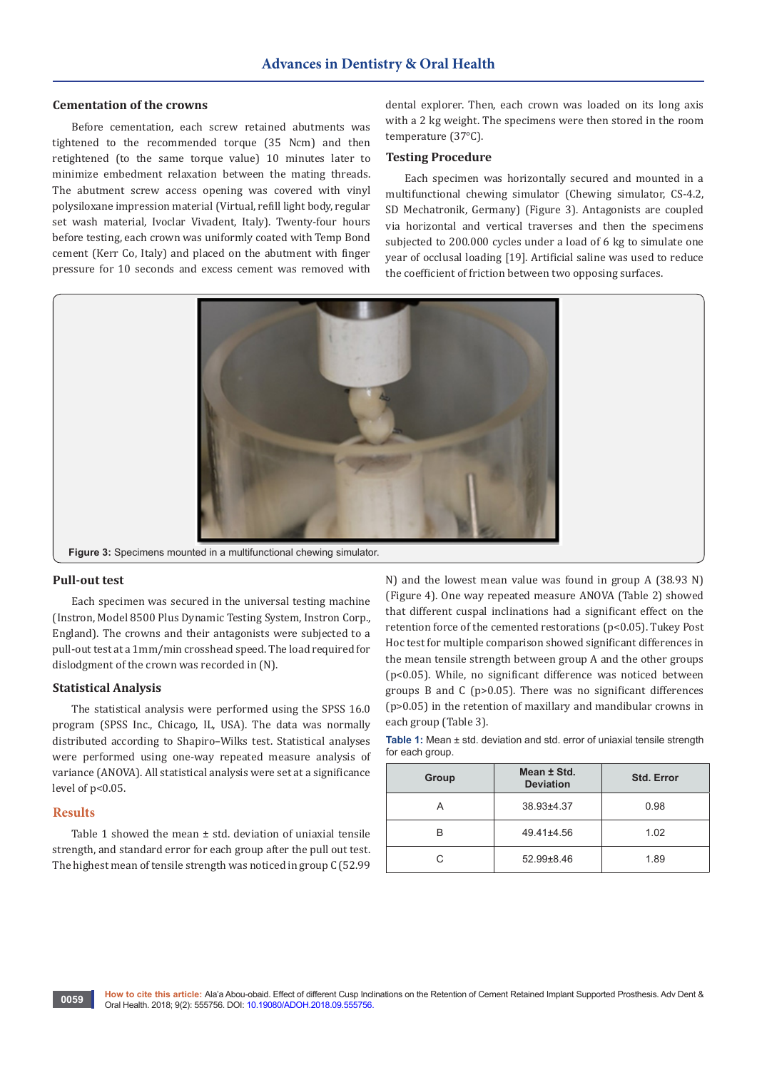# **Cementation of the crowns**

Before cementation, each screw retained abutments was tightened to the recommended torque (35 Ncm) and then retightened (to the same torque value) 10 minutes later to minimize embedment relaxation between the mating threads. The abutment screw access opening was covered with vinyl polysiloxane impression material (Virtual, refill light body, regular set wash material, Ivoclar Vivadent, Italy). Twenty-four hours before testing, each crown was uniformly coated with Temp Bond cement (Kerr Co, Italy) and placed on the abutment with finger pressure for 10 seconds and excess cement was removed with

dental explorer. Then, each crown was loaded on its long axis with a 2 kg weight. The specimens were then stored in the room temperature (37°C).

#### **Testing Procedure**

Each specimen was horizontally secured and mounted in a multifunctional chewing simulator (Chewing simulator, CS-4.2, SD Mechatronik, Germany) (Figure 3). Antagonists are coupled via horizontal and vertical traverses and then the specimens subjected to 200.000 cycles under a load of 6 kg to simulate one year of occlusal loading [19]. Artificial saline was used to reduce the coefficient of friction between two opposing surfaces.



## **Pull-out test**

Each specimen was secured in the universal testing machine (Instron, Model 8500 Plus Dynamic Testing System, Instron Corp., England). The crowns and their antagonists were subjected to a pull-out test at a 1mm/min crosshead speed. The load required for dislodgment of the crown was recorded in (N).

#### **Statistical Analysis**

The statistical analysis were performed using the SPSS 16.0 program (SPSS Inc., Chicago, IL, USA). The data was normally distributed according to Shapiro–Wilks test. Statistical analyses were performed using one-way repeated measure analysis of variance (ANOVA). All statistical analysis were set at a significance level of p<0.05.

#### **Results**

Table 1 showed the mean  $\pm$  std. deviation of uniaxial tensile strength, and standard error for each group after the pull out test. The highest mean of tensile strength was noticed in group C (52.99 N) and the lowest mean value was found in group A (38.93 N) (Figure 4). One way repeated measure ANOVA (Table 2) showed that different cuspal inclinations had a significant effect on the retention force of the cemented restorations (p<0.05). Tukey Post Hoc test for multiple comparison showed significant differences in the mean tensile strength between group A and the other groups (p<0.05). While, no significant difference was noticed between groups B and C (p>0.05). There was no significant differences (p>0.05) in the retention of maxillary and mandibular crowns in each group (Table 3).

| <b>Table 1:</b> Mean $\pm$ std. deviation and std. error of uniaxial tensile strength |  |  |
|---------------------------------------------------------------------------------------|--|--|
| for each group.                                                                       |  |  |

| Group | Mean ± Std.<br><b>Deviation</b> | <b>Std. Error</b> |
|-------|---------------------------------|-------------------|
|       | 38.93±4.37                      | 0.98              |
| R     | 49.41±4.56                      | 1.02              |
| C.    | $52.99 \pm 8.46$                | 1.89              |

**0059**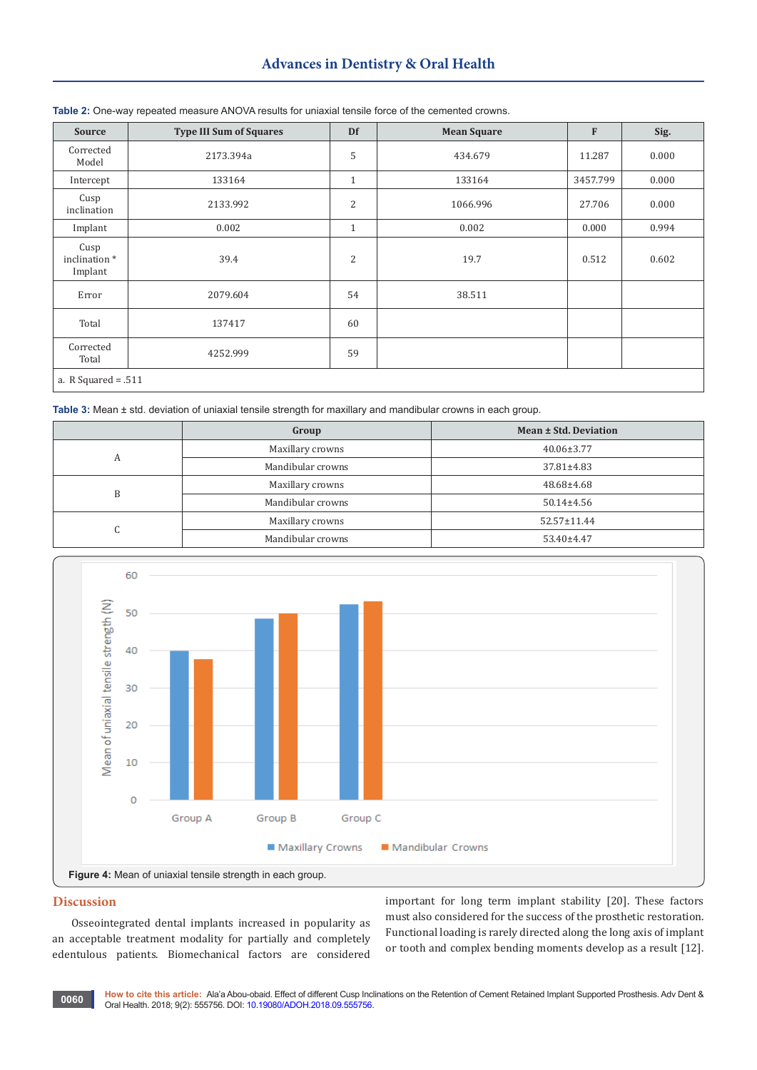# **Advances in Dentistry & Oral Health**

| <b>Source</b>                   | <b>Type III Sum of Squares</b> | Df             | <b>Mean Square</b> | $\mathbf F$ | Sig.  |
|---------------------------------|--------------------------------|----------------|--------------------|-------------|-------|
| Corrected<br>Model              | 2173.394a                      | 5              | 434.679            | 11.287      | 0.000 |
| Intercept                       | 133164                         | $\mathbf{1}$   | 133164             | 3457.799    | 0.000 |
| Cusp<br>inclination             | 2133.992                       | $\overline{2}$ | 1066.996           | 27.706      | 0.000 |
| Implant                         | 0.002                          | $\mathbf{1}$   | 0.002              | 0.000       | 0.994 |
| Cusp<br>inclination*<br>Implant | 39.4                           | $\overline{2}$ | 19.7               | 0.512       | 0.602 |
| Error                           | 2079.604                       | 54             | 38.511             |             |       |
| Total                           | 137417                         | 60             |                    |             |       |
| Corrected<br>Total              | 4252.999                       | 59             |                    |             |       |
| a. R Squared = $.511$           |                                |                |                    |             |       |

#### **Table 2:** One-way repeated measure ANOVA results for uniaxial tensile force of the cemented crowns.

**Table 3:** Mean ± std. deviation of uniaxial tensile strength for maxillary and mandibular crowns in each group.

|         | Group             | Mean ± Std. Deviation |
|---------|-------------------|-----------------------|
|         | Maxillary crowns  | $40.06 \pm 3.77$      |
|         | Mandibular crowns | $37.81 \pm 4.83$      |
| R       | Maxillary crowns  | 48.68±4.68            |
|         | Mandibular crowns | $50.14 \pm 4.56$      |
| ⌒<br>ι. | Maxillary crowns  | $52.57 \pm 11.44$     |
|         | Mandibular crowns | 53.40±4.47            |



#### **Discussion**

Ī

Osseointegrated dental implants increased in popularity as an acceptable treatment modality for partially and completely edentulous patients. Biomechanical factors are considered

important for long term implant stability [20]. These factors must also considered for the success of the prosthetic restoration. Functional loading is rarely directed along the long axis of implant or tooth and complex bending moments develop as a result [12].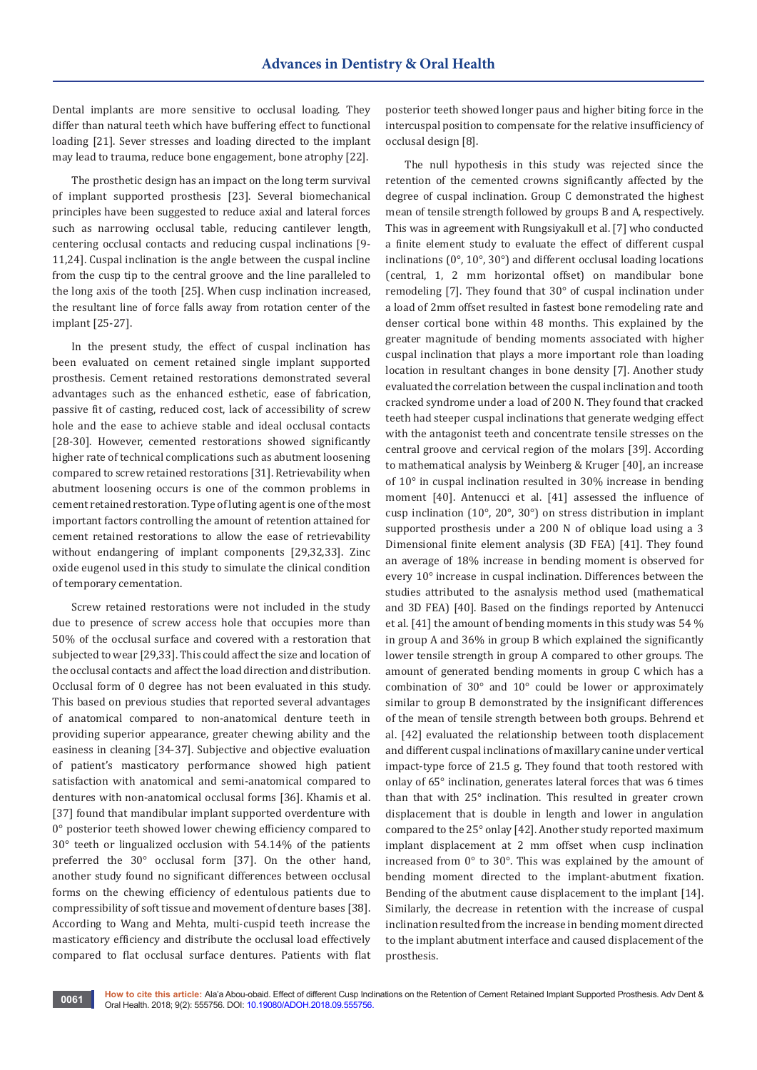Dental implants are more sensitive to occlusal loading. They differ than natural teeth which have buffering effect to functional loading [21]. Sever stresses and loading directed to the implant may lead to trauma, reduce bone engagement, bone atrophy [22].

The prosthetic design has an impact on the long term survival of implant supported prosthesis [23]. Several biomechanical principles have been suggested to reduce axial and lateral forces such as narrowing occlusal table, reducing cantilever length, centering occlusal contacts and reducing cuspal inclinations [9- 11,24]. Cuspal inclination is the angle between the cuspal incline from the cusp tip to the central groove and the line paralleled to the long axis of the tooth [25]. When cusp inclination increased, the resultant line of force falls away from rotation center of the implant [25-27].

In the present study, the effect of cuspal inclination has been evaluated on cement retained single implant supported prosthesis. Cement retained restorations demonstrated several advantages such as the enhanced esthetic, ease of fabrication, passive fit of casting, reduced cost, lack of accessibility of screw hole and the ease to achieve stable and ideal occlusal contacts [28-30]. However, cemented restorations showed significantly higher rate of technical complications such as abutment loosening compared to screw retained restorations [31]. Retrievability when abutment loosening occurs is one of the common problems in cement retained restoration. Type of luting agent is one of the most important factors controlling the amount of retention attained for cement retained restorations to allow the ease of retrievability without endangering of implant components [29,32,33]. Zinc oxide eugenol used in this study to simulate the clinical condition of temporary cementation.

Screw retained restorations were not included in the study due to presence of screw access hole that occupies more than 50% of the occlusal surface and covered with a restoration that subjected to wear [29,33]. This could affect the size and location of the occlusal contacts and affect the load direction and distribution. Occlusal form of 0 degree has not been evaluated in this study. This based on previous studies that reported several advantages of anatomical compared to non-anatomical denture teeth in providing superior appearance, greater chewing ability and the easiness in cleaning [34-37]. Subjective and objective evaluation of patient's masticatory performance showed high patient satisfaction with anatomical and semi-anatomical compared to dentures with non-anatomical occlusal forms [36]. Khamis et al. [37] found that mandibular implant supported overdenture with 0° posterior teeth showed lower chewing efficiency compared to 30° teeth or lingualized occlusion with 54.14% of the patients preferred the 30° occlusal form [37]. On the other hand, another study found no significant differences between occlusal forms on the chewing efficiency of edentulous patients due to compressibility of soft tissue and movement of denture bases [38]. According to Wang and Mehta, multi-cuspid teeth increase the masticatory efficiency and distribute the occlusal load effectively compared to flat occlusal surface dentures. Patients with flat

posterior teeth showed longer paus and higher biting force in the intercuspal position to compensate for the relative insufficiency of occlusal design [8].

The null hypothesis in this study was rejected since the retention of the cemented crowns significantly affected by the degree of cuspal inclination. Group C demonstrated the highest mean of tensile strength followed by groups B and A, respectively. This was in agreement with Rungsiyakull et al. [7] who conducted a finite element study to evaluate the effect of different cuspal inclinations (0°, 10°, 30°) and different occlusal loading locations (central, 1, 2 mm horizontal offset) on mandibular bone remodeling [7]. They found that 30° of cuspal inclination under a load of 2mm offset resulted in fastest bone remodeling rate and denser cortical bone within 48 months. This explained by the greater magnitude of bending moments associated with higher cuspal inclination that plays a more important role than loading location in resultant changes in bone density [7]. Another study evaluated the correlation between the cuspal inclination and tooth cracked syndrome under a load of 200 N. They found that cracked teeth had steeper cuspal inclinations that generate wedging effect with the antagonist teeth and concentrate tensile stresses on the central groove and cervical region of the molars [39]. According to mathematical analysis by Weinberg & Kruger [40], an increase of 10° in cuspal inclination resulted in 30% increase in bending moment [40]. Antenucci et al. [41] assessed the influence of cusp inclination (10°, 20°, 30°) on stress distribution in implant supported prosthesis under a 200 N of oblique load using a 3 Dimensional finite element analysis (3D FEA) [41]. They found an average of 18% increase in bending moment is observed for every 10° increase in cuspal inclination. Differences between the studies attributed to the asnalysis method used (mathematical and 3D FEA) [40]. Based on the findings reported by Antenucci et al. [41] the amount of bending moments in this study was 54 % in group A and 36% in group B which explained the significantly lower tensile strength in group A compared to other groups. The amount of generated bending moments in group C which has a combination of 30° and 10° could be lower or approximately similar to group B demonstrated by the insignificant differences of the mean of tensile strength between both groups. Behrend et al. [42] evaluated the relationship between tooth displacement and different cuspal inclinations of maxillary canine under vertical impact-type force of 21.5 g. They found that tooth restored with onlay of 65° inclination, generates lateral forces that was 6 times than that with 25° inclination. This resulted in greater crown displacement that is double in length and lower in angulation compared to the 25° onlay [42]. Another study reported maximum implant displacement at 2 mm offset when cusp inclination increased from 0° to 30°. This was explained by the amount of bending moment directed to the implant-abutment fixation. Bending of the abutment cause displacement to the implant [14]. Similarly, the decrease in retention with the increase of cuspal inclination resulted from the increase in bending moment directed to the implant abutment interface and caused displacement of the prosthesis.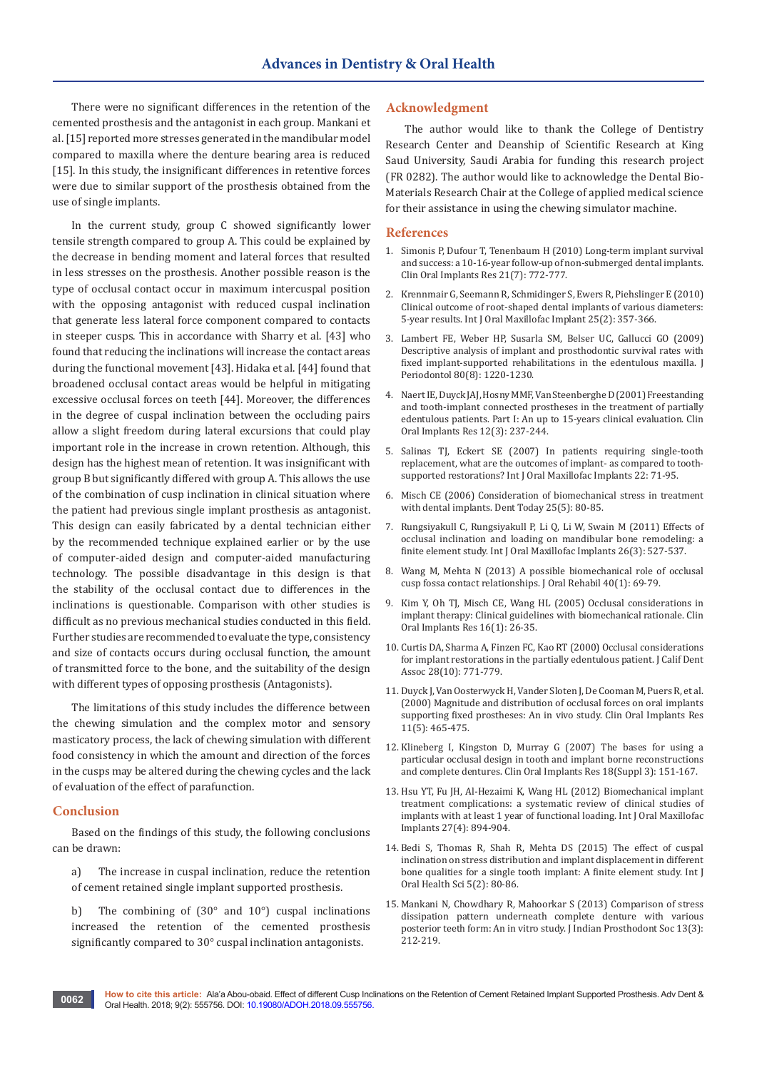There were no significant differences in the retention of the cemented prosthesis and the antagonist in each group. Mankani et al. [15] reported more stresses generated in the mandibular model compared to maxilla where the denture bearing area is reduced [15]. In this study, the insignificant differences in retentive forces were due to similar support of the prosthesis obtained from the use of single implants.

In the current study, group C showed significantly lower tensile strength compared to group A. This could be explained by the decrease in bending moment and lateral forces that resulted in less stresses on the prosthesis. Another possible reason is the type of occlusal contact occur in maximum intercuspal position with the opposing antagonist with reduced cuspal inclination that generate less lateral force component compared to contacts in steeper cusps. This in accordance with Sharry et al. [43] who found that reducing the inclinations will increase the contact areas during the functional movement [43]. Hidaka et al. [44] found that broadened occlusal contact areas would be helpful in mitigating excessive occlusal forces on teeth [44]. Moreover, the differences in the degree of cuspal inclination between the occluding pairs allow a slight freedom during lateral excursions that could play important role in the increase in crown retention. Although, this design has the highest mean of retention. It was insignificant with group B but significantly differed with group A. This allows the use of the combination of cusp inclination in clinical situation where the patient had previous single implant prosthesis as antagonist. This design can easily fabricated by a dental technician either by the recommended technique explained earlier or by the use of computer-aided design and computer-aided manufacturing technology. The possible disadvantage in this design is that the stability of the occlusal contact due to differences in the inclinations is questionable. Comparison with other studies is difficult as no previous mechanical studies conducted in this field. Further studies are recommended to evaluate the type, consistency and size of contacts occurs during occlusal function, the amount of transmitted force to the bone, and the suitability of the design with different types of opposing prosthesis (Antagonists).

The limitations of this study includes the difference between the chewing simulation and the complex motor and sensory masticatory process, the lack of chewing simulation with different food consistency in which the amount and direction of the forces in the cusps may be altered during the chewing cycles and the lack of evaluation of the effect of parafunction.

## **Conclusion**

Based on the findings of this study, the following conclusions can be drawn:

- a) The increase in cuspal inclination, reduce the retention of cement retained single implant supported prosthesis.
- b) The combining of (30° and 10°) cuspal inclinations increased the retention of the cemented prosthesis significantly compared to 30° cuspal inclination antagonists.

# **Acknowledgment**

The author would like to thank the College of Dentistry Research Center and Deanship of Scientific Research at King Saud University, Saudi Arabia for funding this research project (FR 0282). The author would like to acknowledge the Dental Bio-Materials Research Chair at the College of applied medical science for their assistance in using the chewing simulator machine.

#### **References**

- 1. [Simonis P, Dufour T, Tenenbaum H \(2010\) Long-term implant survival](https://www.ncbi.nlm.nih.gov/pubmed/20636731)  [and success: a 10-16-year follow-up of non-submerged dental implants.](https://www.ncbi.nlm.nih.gov/pubmed/20636731)  [Clin Oral Implants Res 21\(7\): 772-777.](https://www.ncbi.nlm.nih.gov/pubmed/20636731)
- 2. [Krennmair G, Seemann R, Schmidinger S, Ewers R, Piehslinger E \(2010\)](https://www.ncbi.nlm.nih.gov/pubmed/20369096)  [Clinical outcome of root-shaped dental implants of various diameters:](https://www.ncbi.nlm.nih.gov/pubmed/20369096)  [5-year results. Int J Oral Maxillofac Implant 25\(2\): 357-366.](https://www.ncbi.nlm.nih.gov/pubmed/20369096)
- 3. [Lambert FE, Weber HP, Susarla SM, Belser UC, Gallucci GO \(2009\)](https://www.ncbi.nlm.nih.gov/pubmed/19656021)  [Descriptive analysis of implant and prosthodontic survival rates with](https://www.ncbi.nlm.nih.gov/pubmed/19656021)  [fixed implant-supported rehabilitations in the edentulous maxilla. J](https://www.ncbi.nlm.nih.gov/pubmed/19656021)  [Periodontol 80\(8\): 1220-1230.](https://www.ncbi.nlm.nih.gov/pubmed/19656021)
- 4. [Naert IE, Duyck JAJ, Hosny MMF, Van Steenberghe D \(2001\) Freestanding](https://www.ncbi.nlm.nih.gov/pubmed/11359481)  [and tooth-implant connected prostheses in the treatment of partially](https://www.ncbi.nlm.nih.gov/pubmed/11359481)  [edentulous patients. Part I: An up to 15-years clinical evaluation. Clin](https://www.ncbi.nlm.nih.gov/pubmed/11359481)  [Oral Implants Res 12\(3\): 237-244.](https://www.ncbi.nlm.nih.gov/pubmed/11359481)
- 5. [Salinas TJ, Eckert SE \(2007\) In patients requiring single-tooth](https://www.ncbi.nlm.nih.gov/pubmed/18437792)  [replacement, what are the outcomes of implant- as compared to tooth](https://www.ncbi.nlm.nih.gov/pubmed/18437792)[supported restorations? Int J Oral Maxillofac Implants 22: 71-95.](https://www.ncbi.nlm.nih.gov/pubmed/18437792)
- 6. [Misch CE \(2006\) Consideration of biomechanical stress in treatment](https://www.ncbi.nlm.nih.gov/pubmed/16729498)  [with dental implants. Dent Today 25\(5\): 80-85.](https://www.ncbi.nlm.nih.gov/pubmed/16729498)
- 7. [Rungsiyakull C, Rungsiyakull P, Li Q, Li W, Swain M \(2011\) Effects of](https://www.ncbi.nlm.nih.gov/pubmed/21691599)  [occlusal inclination and loading on mandibular bone remodeling: a](https://www.ncbi.nlm.nih.gov/pubmed/21691599)  [finite element study. Int J Oral Maxillofac Implants 26\(3\): 527-537.](https://www.ncbi.nlm.nih.gov/pubmed/21691599)
- 8. [Wang M, Mehta N \(2013\) A possible biomechanical role of occlusal](https://www.ncbi.nlm.nih.gov/pubmed/22882571)  [cusp fossa contact relationships. J Oral Rehabil 40\(1\): 69-79.](https://www.ncbi.nlm.nih.gov/pubmed/22882571)
- 9. [Kim Y, Oh TJ, Misch CE, Wang HL \(2005\) Occlusal considerations in](https://www.ncbi.nlm.nih.gov/pubmed/15642028)  [implant therapy: Clinical guidelines with biomechanical rationale. Clin](https://www.ncbi.nlm.nih.gov/pubmed/15642028)  [Oral Implants Res 16\(1\): 26-35.](https://www.ncbi.nlm.nih.gov/pubmed/15642028)
- 10. [Curtis DA, Sharma A, Finzen FC, Kao RT \(2000\) Occlusal considerations](https://www.ncbi.nlm.nih.gov/pubmed/11326520)  [for implant restorations in the partially edentulous patient. J Calif Dent](https://www.ncbi.nlm.nih.gov/pubmed/11326520)  [Assoc 28\(10\): 771-779.](https://www.ncbi.nlm.nih.gov/pubmed/11326520)
- 11. [Duyck J, Van Oosterwyck H, Vander Sloten J, De Cooman M, Puers R, et al.](https://www.ncbi.nlm.nih.gov/pubmed/11168239)  [\(2000\) Magnitude and distribution of occlusal forces on oral implants](https://www.ncbi.nlm.nih.gov/pubmed/11168239)  [supporting fixed prostheses: An in vivo study. Clin Oral Implants Res](https://www.ncbi.nlm.nih.gov/pubmed/11168239)  [11\(5\): 465-475.](https://www.ncbi.nlm.nih.gov/pubmed/11168239)
- 12. [Klineberg I, Kingston D, Murray G \(2007\) The bases for using a](https://www.ncbi.nlm.nih.gov/pubmed/17594379)  [particular occlusal design in tooth and implant borne reconstructions](https://www.ncbi.nlm.nih.gov/pubmed/17594379)  [and complete dentures. Clin Oral Implants Res 18\(Suppl 3\): 151-167.](https://www.ncbi.nlm.nih.gov/pubmed/17594379)
- 13. [Hsu YT, Fu JH, Al-Hezaimi K, Wang HL \(2012\) Biomechanical implant](https://www.ncbi.nlm.nih.gov/pubmed/22848892)  [treatment complications: a systematic review of clinical studies of](https://www.ncbi.nlm.nih.gov/pubmed/22848892)  [implants with at least 1 year of functional loading. Int J Oral Maxillofac](https://www.ncbi.nlm.nih.gov/pubmed/22848892)  [Implants 27\(4\): 894-904.](https://www.ncbi.nlm.nih.gov/pubmed/22848892)
- 14. [Bedi S, Thomas R, Shah R, Mehta DS \(2015\) The effect of cuspal](http://www.ijohsjournal.org/article.asp?issn=2231-6027;year=2015;volume=5;issue=2;spage=80;epage=86;aulast=Bedi)  [inclination on stress distribution and implant displacement in different](http://www.ijohsjournal.org/article.asp?issn=2231-6027;year=2015;volume=5;issue=2;spage=80;epage=86;aulast=Bedi)  [bone qualities for a single tooth implant: A finite element study. Int J](http://www.ijohsjournal.org/article.asp?issn=2231-6027;year=2015;volume=5;issue=2;spage=80;epage=86;aulast=Bedi)  [Oral Health Sci 5\(2\): 80-86.](http://www.ijohsjournal.org/article.asp?issn=2231-6027;year=2015;volume=5;issue=2;spage=80;epage=86;aulast=Bedi)
- 15. [Mankani N, Chowdhary R, Mahoorkar S \(2013\) Comparison of stress](https://www.ncbi.nlm.nih.gov/pubmed/24431736/)  [dissipation pattern underneath complete denture with various](https://www.ncbi.nlm.nih.gov/pubmed/24431736/)  [posterior teeth form: An in vitro study. J Indian Prosthodont Soc 13\(3\):](https://www.ncbi.nlm.nih.gov/pubmed/24431736/)  [212-219.](https://www.ncbi.nlm.nih.gov/pubmed/24431736/)